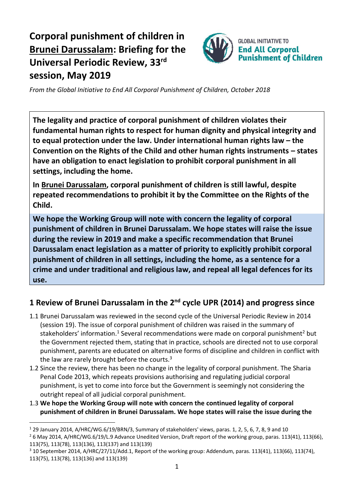# **Corporal punishment of children in Brunei Darussalam: Briefing for the Universal Periodic Review, 33 rd session, May 2019**



*From the Global Initiative to End All Corporal Punishment of Children, October 2018*

**The legality and practice of corporal punishment of children violates their fundamental human rights to respect for human dignity and physical integrity and to equal protection under the law. Under international human rights law – the Convention on the Rights of the Child and other human rights instruments – states have an obligation to enact legislation to prohibit corporal punishment in all settings, including the home.**

**In Brunei Darussalam, corporal punishment of children is still lawful, despite repeated recommendations to prohibit it by the Committee on the Rights of the Child.**

**We hope the Working Group will note with concern the legality of corporal punishment of children in Brunei Darussalam. We hope states will raise the issue during the review in 2019 and make a specific recommendation that Brunei Darussalam enact legislation as a matter of priority to explicitly prohibit corporal punishment of children in all settings, including the home, as a sentence for a crime and under traditional and religious law, and repeal all legal defences for its use.**

## **1 Review of Brunei Darussalam in the 2nd cycle UPR (2014) and progress since**

- 1.1 Brunei Darussalam was reviewed in the second cycle of the Universal Periodic Review in 2014 (session 19). The issue of corporal punishment of children was raised in the summary of stakeholders' information.<sup>1</sup> Several recommendations were made on corporal punishment<sup>2</sup> but the Government rejected them, stating that in practice, schools are directed not to use corporal punishment, parents are educated on alternative forms of discipline and children in conflict with the law are rarely brought before the courts. $3$
- 1.2 Since the review, there has been no change in the legality of corporal punishment. The Sharia Penal Code 2013, which repeats provisions authorising and regulating judicial corporal punishment, is yet to come into force but the Government is seemingly not considering the outright repeal of all judicial corporal punishment.
- 1.3 **We hope the Working Group will note with concern the continued legality of corporal punishment of children in Brunei Darussalam. We hope states will raise the issue during the**

 $\overline{a}$ 

<sup>2</sup> 6 May 2014, A/HRC/WG.6/19/L.9 Advance Unedited Version, Draft report of the working group, paras. 113(41), 113(66), 113(75), 113(78), 113(136), 113(137) and 113(139)

<sup>1</sup> 29 January 2014, A/HRC/WG.6/19/BRN/3, Summary of stakeholders' views, paras. 1, 2, 5, 6, 7, 8, 9 and 10

<sup>3</sup> 10 September 2014, A/HRC/27/11/Add.1, Report of the working group: Addendum, paras. 113(41), 113(66), 113(74), 113(75), 113(78), 113(136) and 113(139)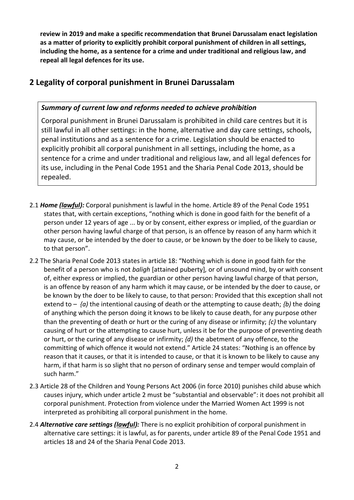**review in 2019 and make a specific recommendation that Brunei Darussalam enact legislation as a matter of priority to explicitly prohibit corporal punishment of children in all settings, including the home, as a sentence for a crime and under traditional and religious law, and repeal all legal defences for its use.**

### **2 Legality of corporal punishment in Brunei Darussalam**

#### *Summary of current law and reforms needed to achieve prohibition*

Corporal punishment in Brunei Darussalam is prohibited in child care centres but it is still lawful in all other settings: in the home, alternative and day care settings, schools, penal institutions and as a sentence for a crime. Legislation should be enacted to explicitly prohibit all corporal punishment in all settings, including the home, as a sentence for a crime and under traditional and religious law, and all legal defences for its use, including in the Penal Code 1951 and the Sharia Penal Code 2013, should be repealed.

- 2.1 *Home (lawful):* Corporal punishment is lawful in the home. Article 89 of the Penal Code 1951 states that, with certain exceptions, "nothing which is done in good faith for the benefit of a person under 12 years of age ... by or by consent, either express or implied, of the guardian or other person having lawful charge of that person, is an offence by reason of any harm which it may cause, or be intended by the doer to cause, or be known by the doer to be likely to cause, to that person".
- 2.2 The Sharia Penal Code 2013 states in article 18: "Nothing which is done in good faith for the benefit of a person who is not *baligh* [attained puberty]*,* or of unsound mind, by or with consent of, either express or implied, the guardian or other person having lawful charge of that person, is an offence by reason of any harm which it may cause, or be intended by the doer to cause, or be known by the doer to be likely to cause, to that person: Provided that this exception shall not extend to  ${a}$ ) the intentional causing of death or the attempting to cause death;  ${b}$ ) the doing of anything which the person doing it knows to be likely to cause death, for any purpose other than the preventing of death or hurt or the curing of any disease or infirmity; *{c)* the voluntary causing of hurt or the attempting to cause hurt, unless it be for the purpose of preventing death or hurt, or the curing of any disease or infirmity; *{d)* the abetment of any offence, to the committing of which offence it would not extend." Article 24 states: "Nothing is an offence by reason that it causes, or that it is intended to cause, or that it is known to be likely to cause any harm, if that harm is so slight that no person of ordinary sense and temper would complain of such harm."
- 2.3 Article 28 of the Children and Young Persons Act 2006 (in force 2010) punishes child abuse which causes injury, which under article 2 must be "substantial and observable": it does not prohibit all corporal punishment. Protection from violence under the Married Women Act 1999 is not interpreted as prohibiting all corporal punishment in the home.
- 2.4 *Alternative care settings (lawful):* There is no explicit prohibition of corporal punishment in alternative care settings: it is lawful, as for parents, under article 89 of the Penal Code 1951 and articles 18 and 24 of the Sharia Penal Code 2013.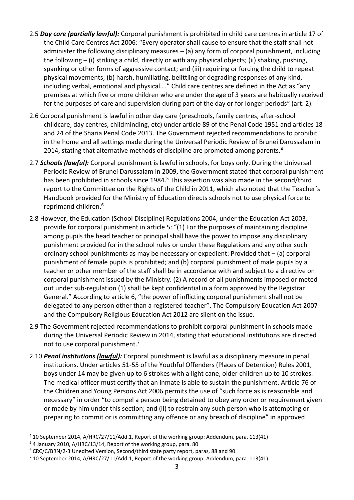- 2.5 *Day care (partially lawful):* Corporal punishment is prohibited in child care centres in article 17 of the Child Care Centres Act 2006: "Every operator shall cause to ensure that the staff shall not administer the following disciplinary measures  $-$  (a) any form of corporal punishment, including the following – (i) striking a child, directly or with any physical objects; (ii) shaking, pushing, spanking or other forms of aggressive contact; and (iii) requiring or forcing the child to repeat physical movements; (b) harsh, humiliating, belittling or degrading responses of any kind, including verbal, emotional and physical…." Child care centres are defined in the Act as "any premises at which five or more children who are under the age of 3 years are habitually received for the purposes of care and supervision during part of the day or for longer periods" (art. 2).
- 2.6 Corporal punishment is lawful in other day care (preschools, family centres, after-school childcare, day centres, childminding, etc) under article 89 of the Penal Code 1951 and articles 18 and 24 of the Sharia Penal Code 2013. The Government rejected recommendations to prohibit in the home and all settings made during the Universal Periodic Review of Brunei Darussalam in 2014, stating that alternative methods of discipline are promoted among parents. $4$
- 2.7 *Schools (lawful):* Corporal punishment is lawful in schools, for boys only. During the Universal Periodic Review of Brunei Darussalam in 2009, the Government stated that corporal punishment has been prohibited in schools since 1984.<sup>5</sup> This assertion was also made in the second/third report to the Committee on the Rights of the Child in 2011, which also noted that the Teacher's Handbook provided for the Ministry of Education directs schools not to use physical force to reprimand children.<sup>6</sup>
- 2.8 However, the Education (School Discipline) Regulations 2004, under the Education Act 2003, provide for corporal punishment in article 5: "(1) For the purposes of maintaining discipline among pupils the head teacher or principal shall have the power to impose any disciplinary punishment provided for in the school rules or under these Regulations and any other such ordinary school punishments as may be necessary or expedient: Provided that – (a) corporal punishment of female pupils is prohibited; and (b) corporal punishment of male pupils by a teacher or other member of the staff shall be in accordance with and subject to a directive on corporal punishment issued by the Ministry. (2) A record of all punishments imposed or meted out under sub-regulation (1) shall be kept confidential in a form approved by the Registrar General." According to article 6, "the power of inflicting corporal punishment shall not be delegated to any person other than a registered teacher". The Compulsory Education Act 2007 and the Compulsory Religious Education Act 2012 are silent on the issue.
- 2.9 The Government rejected recommendations to prohibit corporal punishment in schools made during the Universal Periodic Review in 2014, stating that educational institutions are directed not to use corporal punishment.<sup>7</sup>
- 2.10 *Penal institutions (lawful):* Corporal punishment is lawful as a disciplinary measure in penal institutions. Under articles 51-55 of the Youthful Offenders (Places of Detention) Rules 2001, boys under 14 may be given up to 6 strokes with a light cane, older children up to 10 strokes. The medical officer must certify that an inmate is able to sustain the punishment. Article 76 of the Children and Young Persons Act 2006 permits the use of "such force as is reasonable and necessary" in order "to compel a person being detained to obey any order or requirement given or made by him under this section; and (ii) to restrain any such person who is attempting or preparing to commit or is committing any offence or any breach of discipline" in approved

 $\overline{a}$ 

<sup>4</sup> 10 September 2014, A/HRC/27/11/Add.1, Report of the working group: Addendum, para. 113(41)

<sup>5</sup> 4 January 2010, A/HRC/13/14, Report of the working group, para. 80

<sup>6</sup> CRC/C/BRN/2-3 Unedited Version, Second/third state party report, paras, 88 and 90

 $7$  10 September 2014, A/HRC/27/11/Add.1, Report of the working group: Addendum, para. 113(41)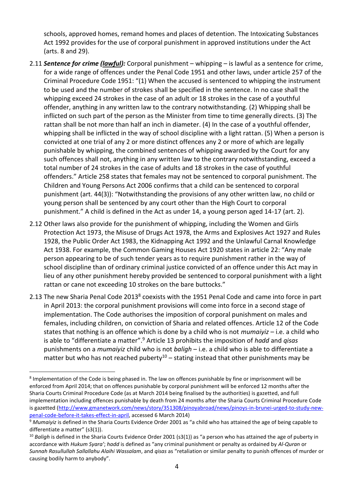schools, approved homes, remand homes and places of detention. The Intoxicating Substances Act 1992 provides for the use of corporal punishment in approved institutions under the Act (arts. 8 and 29).

- 2.11 *Sentence for crime (lawful):* Corporal punishment whipping is lawful as a sentence for crime, for a wide range of offences under the Penal Code 1951 and other laws, under article 257 of the Criminal Procedure Code 1951: "(1) When the accused is sentenced to whipping the instrument to be used and the number of strokes shall be specified in the sentence. In no case shall the whipping exceed 24 strokes in the case of an adult or 18 strokes in the case of a youthful offender, anything in any written law to the contrary notwithstanding. (2) Whipping shall be inflicted on such part of the person as the Minister from time to time generally directs. (3) The rattan shall be not more than half an inch in diameter. (4) In the case of a youthful offender, whipping shall be inflicted in the way of school discipline with a light rattan. (5) When a person is convicted at one trial of any 2 or more distinct offences any 2 or more of which are legally punishable by whipping, the combined sentences of whipping awarded by the Court for any such offences shall not, anything in any written law to the contrary notwithstanding, exceed a total number of 24 strokes in the case of adults and 18 strokes in the case of youthful offenders." Article 258 states that females may not be sentenced to corporal punishment. The Children and Young Persons Act 2006 confirms that a child can be sentenced to corporal punishment (art. 44(3)): "Notwithstanding the provisions of any other written law, no child or young person shall be sentenced by any court other than the High Court to corporal punishment." A child is defined in the Act as under 14, a young person aged 14-17 (art. 2).
- 2.12 Other laws also provide for the punishment of whipping, including the Women and Girls Protection Act 1973, the Misuse of Drugs Act 1978, the Arms and Explosives Act 1927 and Rules 1928, the Public Order Act 1983, the Kidnapping Act 1992 and the Unlawful Carnal Knowledge Act 1938. For example, the Common Gaming Houses Act 1920 states in article 22: "Any male person appearing to be of such tender years as to require punishment rather in the way of school discipline than of ordinary criminal justice convicted of an offence under this Act may in lieu of any other punishment hereby provided be sentenced to corporal punishment with a light rattan or cane not exceeding 10 strokes on the bare buttocks."
- 2.13 The new Sharia Penal Code 2013<sup>8</sup> coexists with the 1951 Penal Code and came into force in part in April 2013: the corporal punishment provisions will come into force in a second stage of implementation. The Code authorises the imposition of corporal punishment on males and females, including children, on conviction of Sharia and related offences. Article 12 of the Code states that nothing is an offence which is done by a child who is not *mumaiyiz* – i.e. a child who is able to "differentiate a matter".<sup>9</sup> Article 13 prohibits the imposition of *hadd* and *qisas* punishments on a *mumaiyiz* child who is not *baligh* – i.e. a child who is able to differentiate a matter but who has not reached puberty<sup>10</sup> – stating instead that other punishments may be

 $\overline{a}$ 

<sup>&</sup>lt;sup>8</sup> Implementation of the Code is being phased in. The law on offences punishable by fine or imprisonment will be enforced from April 2014; that on offences punishable by corporal punishment will be enforced 12 months after the Sharia Courts Criminal Procedure Code (as at March 2014 being finalised by the authorities) is gazetted, and full implementation including offences punishable by death from 24 months after the Sharia Courts Criminal Procedure Code is gazetted [\(http://www.gmanetwork.com/news/story/351308/pinoyabroad/news/pinoys-in-brunei-urged-to-study-new](http://www.gmanetwork.com/news/story/351308/pinoyabroad/news/pinoys-in-brunei-urged-to-study-new-penal-code-before-it-takes-effect-in-april)[penal-code-before-it-takes-effect-in-april,](http://www.gmanetwork.com/news/story/351308/pinoyabroad/news/pinoys-in-brunei-urged-to-study-new-penal-code-before-it-takes-effect-in-april) accessed 6 March 2014)

<sup>&</sup>lt;sup>9</sup> Mumaiyiz is defined in the Sharia Courts Evidence Order 2001 as "a child who has attained the age of being capable to differentiate a matter" (s3(1)).

<sup>&</sup>lt;sup>10</sup> Baligh is defined in the Sharia Courts Evidence Order 2001 (s3(1)) as "a person who has attained the age of puberty in accordance with *Hukum Syara'*; *hadd* is defined as "any criminal punishment or penalty as ordained by *Al-Quran* or *Sunnah Rasullullah Sallallahu Alaihi Wassalam*, and *qisas* as "retaliation or similar penalty to punish offences of murder or causing bodily harm to anybody".